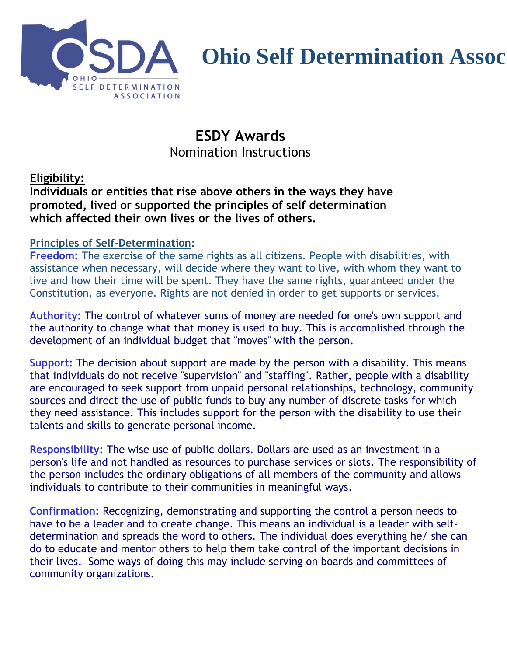

# **Ohio Self Determination Assoc**

## **ESDY Awards** Nomination Instructions

#### **Eligibility:**

**Individuals or entities that rise above others in the ways they have promoted, lived or supported the principles of self determination which affected their own lives or the lives of others.** 

#### **Principles of Self-Determination:**

**Freedom:** The exercise of the same rights as all citizens. People with disabilities, with assistance when necessary, will decide where they want to live, with whom they want to live and how their time will be spent. They have the same rights, guaranteed under the Constitution, as everyone. Rights are not denied in order to get supports or services.

**Authority:** The control of whatever sums of money are needed for one's own support and the authority to change what that money is used to buy. This is accomplished through the development of an individual budget that "moves" with the person.

**Support:** The decision about support are made by the person with a disability. This means that individuals do not receive "supervision" and "staffing". Rather, people with a disability are encouraged to seek support from unpaid personal relationships, technology, community sources and direct the use of public funds to buy any number of discrete tasks for which they need assistance. This includes support for the person with the disability to use their talents and skills to generate personal income.

**Responsibility:** The wise use of public dollars. Dollars are used as an investment in a person's life and not handled as resources to purchase services or slots. The responsibility of the person includes the ordinary obligations of all members of the community and allows individuals to contribute to their communities in meaningful ways.

**Confirmation:** Recognizing, demonstrating and supporting the control a person needs to have to be a leader and to create change. This means an individual is a leader with selfdetermination and spreads the word to others. The individual does everything he/ she can do to educate and mentor others to help them take control of the important decisions in their lives. Some ways of doing this may include serving on boards and committees of community organizations.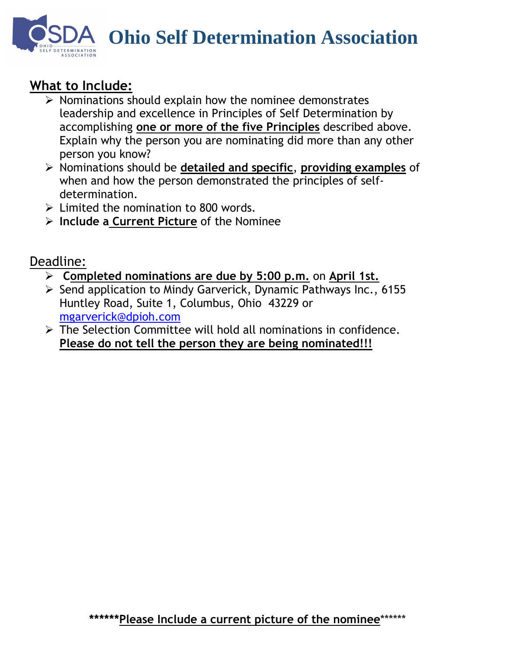**Ohio Self Determination Association**

## **What to Include:**

- ➢ Nominations should explain how the nominee demonstrates leadership and excellence in Principles of Self Determination by accomplishing **one or more of the five Principles** described above. Explain why the person you are nominating did more than any other person you know?
- ➢ Nominations should be **detailed and specific**, **providing examples** of when and how the person demonstrated the principles of selfdetermination.
- $\triangleright$  Limited the nomination to 800 words.
- ➢ **Include a Current Picture** of the Nominee

## Deadline:

- ➢ **Completed nominations are due by 5:00 p.m.** on **April 1st.**
- ➢ Send application to Mindy Garverick, Dynamic Pathways Inc., 6155 Huntley Road, Suite 1, Columbus, Ohio 43229 or [mgarverick@dpioh.com](mailto:mgarverick@dpioh.com)
- ➢ The Selection Committee will hold all nominations in confidence. **Please do not tell the person they are being nominated!!!**